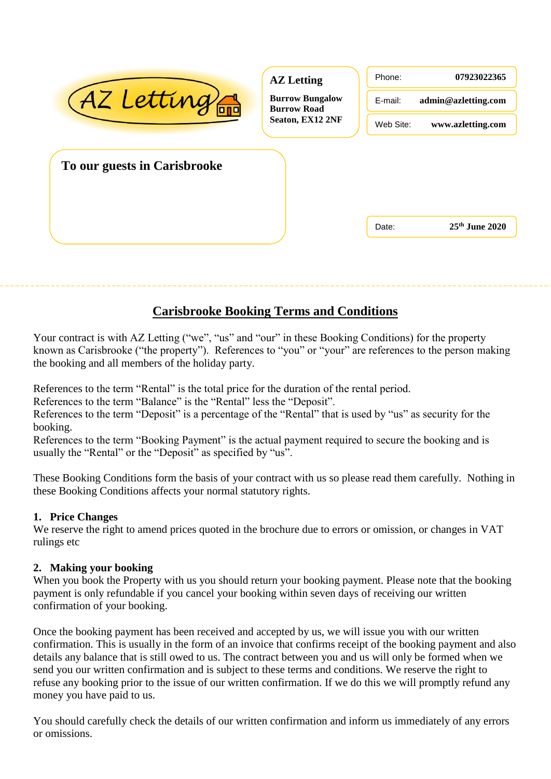| AZ Letting                   | <b>AZ</b> Letting<br><b>Burrow Bungalow</b><br><b>Burrow Road</b><br>Seaton, EX12 2NF | Phone:<br>E-mail:<br>Web Site: | 07923022365<br>admin@azletting.com<br>www.azletting.com |
|------------------------------|---------------------------------------------------------------------------------------|--------------------------------|---------------------------------------------------------|
| To our guests in Carisbrooke |                                                                                       |                                |                                                         |
|                              |                                                                                       | Date:                          | $25th$ June 2020                                        |

# **Carisbrooke Booking Terms and Conditions**

Your contract is with AZ Letting ("we", "us" and "our" in these Booking Conditions) for the property known as Carisbrooke ("the property"). References to "you" or "your" are references to the person making the booking and all members of the holiday party.

References to the term "Rental" is the total price for the duration of the rental period.

References to the term "Balance" is the "Rental" less the "Deposit".

References to the term "Deposit" is a percentage of the "Rental" that is used by "us" as security for the booking.

References to the term "Booking Payment" is the actual payment required to secure the booking and is usually the "Rental" or the "Deposit" as specified by "us".

These Booking Conditions form the basis of your contract with us so please read them carefully. Nothing in these Booking Conditions affects your normal statutory rights.

### **1. Price Changes**

We reserve the right to amend prices quoted in the brochure due to errors or omission, or changes in VAT rulings etc

## **2. Making your booking**

When you book the Property with us you should return your booking payment. Please note that the booking payment is only refundable if you cancel your booking within seven days of receiving our written confirmation of your booking.

Once the booking payment has been received and accepted by us, we will issue you with our written confirmation. This is usually in the form of an invoice that confirms receipt of the booking payment and also details any balance that is still owed to us. The contract between you and us will only be formed when we send you our written confirmation and is subject to these terms and conditions. We reserve the right to refuse any booking prior to the issue of our written confirmation. If we do this we will promptly refund any money you have paid to us.

You should carefully check the details of our written confirmation and inform us immediately of any errors or omissions.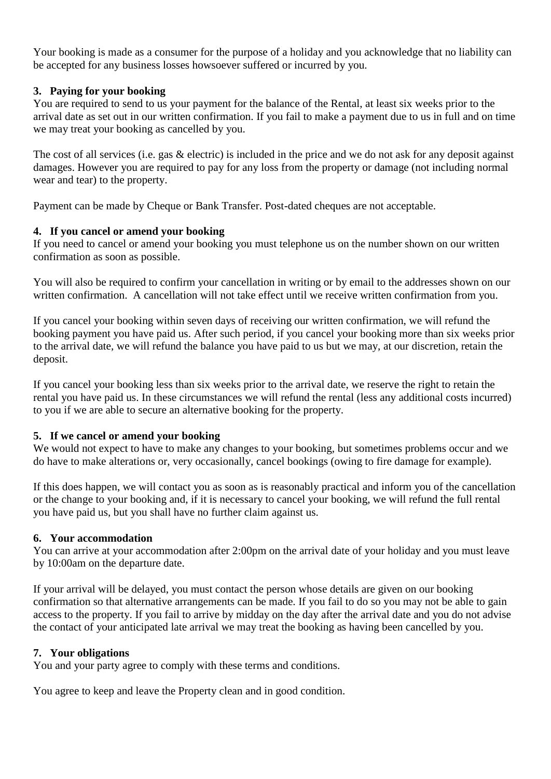Your booking is made as a consumer for the purpose of a holiday and you acknowledge that no liability can be accepted for any business losses howsoever suffered or incurred by you.

### **3. Paying for your booking**

You are required to send to us your payment for the balance of the Rental, at least six weeks prior to the arrival date as set out in our written confirmation. If you fail to make a payment due to us in full and on time we may treat your booking as cancelled by you.

The cost of all services (i.e. gas & electric) is included in the price and we do not ask for any deposit against damages. However you are required to pay for any loss from the property or damage (not including normal wear and tear) to the property.

Payment can be made by Cheque or Bank Transfer. Post-dated cheques are not acceptable.

### **4. If you cancel or amend your booking**

If you need to cancel or amend your booking you must telephone us on the number shown on our written confirmation as soon as possible.

You will also be required to confirm your cancellation in writing or by email to the addresses shown on our written confirmation. A cancellation will not take effect until we receive written confirmation from you.

If you cancel your booking within seven days of receiving our written confirmation, we will refund the booking payment you have paid us. After such period, if you cancel your booking more than six weeks prior to the arrival date, we will refund the balance you have paid to us but we may, at our discretion, retain the deposit.

If you cancel your booking less than six weeks prior to the arrival date, we reserve the right to retain the rental you have paid us. In these circumstances we will refund the rental (less any additional costs incurred) to you if we are able to secure an alternative booking for the property.

### **5. If we cancel or amend your booking**

We would not expect to have to make any changes to your booking, but sometimes problems occur and we do have to make alterations or, very occasionally, cancel bookings (owing to fire damage for example).

If this does happen, we will contact you as soon as is reasonably practical and inform you of the cancellation or the change to your booking and, if it is necessary to cancel your booking, we will refund the full rental you have paid us, but you shall have no further claim against us.

### **6. Your accommodation**

You can arrive at your accommodation after 2:00pm on the arrival date of your holiday and you must leave by 10:00am on the departure date.

If your arrival will be delayed, you must contact the person whose details are given on our booking confirmation so that alternative arrangements can be made. If you fail to do so you may not be able to gain access to the property. If you fail to arrive by midday on the day after the arrival date and you do not advise the contact of your anticipated late arrival we may treat the booking as having been cancelled by you.

### **7. Your obligations**

You and your party agree to comply with these terms and conditions.

You agree to keep and leave the Property clean and in good condition.